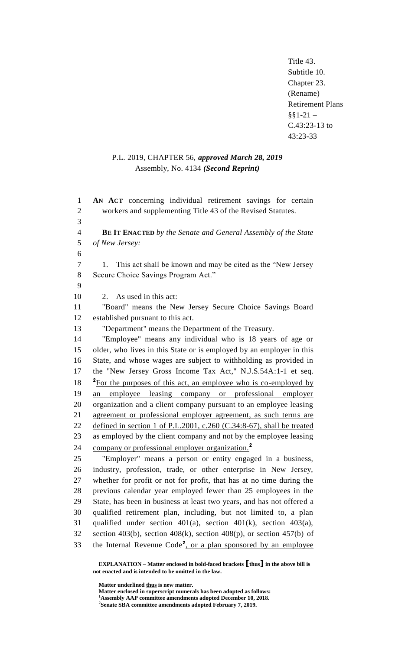Title 43. Subtitle 10. Chapter 23. (Rename) Retirement Plans  $§§1-21 -$ C.43:23-13 to 43:23-33

# P.L. 2019, CHAPTER 56, *approved March 28, 2019* Assembly, No. 4134 *(Second Reprint)*

 **AN ACT** concerning individual retirement savings for certain workers and supplementing Title 43 of the Revised Statutes. 3 **BE IT ENACTED** *by the Senate and General Assembly of the State of New Jersey:* 6 1. This act shall be known and may be cited as the "New Jersey Secure Choice Savings Program Act." 9 2. As used in this act: "Board" means the New Jersey Secure Choice Savings Board established pursuant to this act. "Department" means the Department of the Treasury. "Employee" means any individual who is 18 years of age or older, who lives in this State or is employed by an employer in this State, and whose wages are subject to withholding as provided in the "New Jersey Gross Income Tax Act," N.J.S.54A:1-1 et seq. <sup>2</sup> For the purposes of this act, an employee who is co-employed by an employee leasing company or professional employer organization and a client company pursuant to an employee leasing agreement or professional employer agreement, as such terms are 22 defined in section 1 of P.L.2001, c.260 (C.34:8-67), shall be treated 23 as employed by the client company and not by the employee leasing company or professional employer organization.**<sup>2</sup>** 24 "Employer" means a person or entity engaged in a business, industry, profession, trade, or other enterprise in New Jersey, whether for profit or not for profit, that has at no time during the previous calendar year employed fewer than 25 employees in the State, has been in business at least two years, and has not offered a qualified retirement plan, including, but not limited to, a plan qualified under section 401(a), section 401(k), section 403(a), 32 section 403(b), section 408(k), section 408(p), or section 457(b) of 33 the Internal Revenue Code<sup>2</sup>, or a plan sponsored by an employee

**EXPLANATION – Matter enclosed in bold-faced brackets [thus] in the above bill is not enacted and is intended to be omitted in the law.**

Matter underlined **thus** is new matter.

**Matter enclosed in superscript numerals has been adopted as follows:**

**<sup>1</sup>Assembly AAP committee amendments adopted December 10, 2018.**

**<sup>2</sup> Senate SBA committee amendments adopted February 7, 2019.**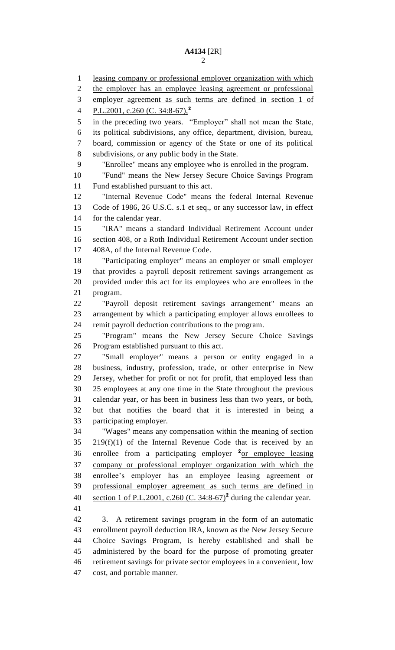leasing company or professional employer organization with which the employer has an employee leasing agreement or professional employer agreement as such terms are defined in section 1 of P.L.2001, c.260 (C. 34:8-67), **2** in the preceding two years. "Employer" shall not mean the State, its political subdivisions, any office, department, division, bureau, board, commission or agency of the State or one of its political subdivisions, or any public body in the State. "Enrollee" means any employee who is enrolled in the program. "Fund" means the New Jersey Secure Choice Savings Program Fund established pursuant to this act. "Internal Revenue Code" means the federal Internal Revenue Code of 1986, 26 U.S.C. s.1 et seq., or any successor law, in effect for the calendar year. "IRA" means a standard Individual Retirement Account under section 408, or a Roth Individual Retirement Account under section 408A, of the Internal Revenue Code. "Participating employer" means an employer or small employer that provides a payroll deposit retirement savings arrangement as provided under this act for its employees who are enrollees in the program. "Payroll deposit retirement savings arrangement" means an arrangement by which a participating employer allows enrollees to remit payroll deduction contributions to the program. "Program" means the New Jersey Secure Choice Savings Program established pursuant to this act. "Small employer" means a person or entity engaged in a business, industry, profession, trade, or other enterprise in New Jersey, whether for profit or not for profit, that employed less than 25 employees at any one time in the State throughout the previous calendar year, or has been in business less than two years, or both, but that notifies the board that it is interested in being a participating employer. "Wages" means any compensation within the meaning of section  $219(f)(1)$  of the Internal Revenue Code that is received by an 36 enrollee from a participating employer <sup>2</sup><sub>Of employee leasing</sub> company or professional employer organization with which the enrollee's employer has an employee leasing agreement or professional employer agreement as such terms are defined in 40 section 1 of P.L.2001, c.260 (C. 34:8-67)<sup>2</sup> during the calendar year. 3. A retirement savings program in the form of an automatic enrollment payroll deduction IRA, known as the New Jersey Secure Choice Savings Program, is hereby established and shall be administered by the board for the purpose of promoting greater retirement savings for private sector employees in a convenient, low

cost, and portable manner.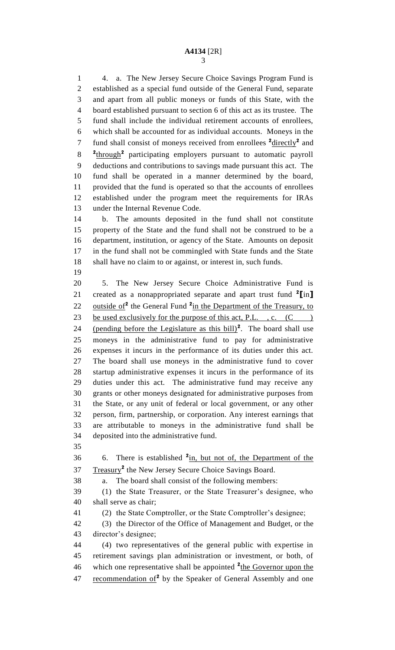4. a. The New Jersey Secure Choice Savings Program Fund is established as a special fund outside of the General Fund, separate and apart from all public moneys or funds of this State, with the board established pursuant to section 6 of this act as its trustee. The fund shall include the individual retirement accounts of enrollees, which shall be accounted for as individual accounts. Moneys in the 7 fund shall consist of moneys received from enrollees  $2 \cdot \text{directly}^2$  and 8 <sup>2</sup>through<sup>2</sup> participating employers pursuant to automatic payroll deductions and contributions to savings made pursuant this act. The fund shall be operated in a manner determined by the board, provided that the fund is operated so that the accounts of enrollees established under the program meet the requirements for IRAs under the Internal Revenue Code.

 b. The amounts deposited in the fund shall not constitute property of the State and the fund shall not be construed to be a department, institution, or agency of the State. Amounts on deposit in the fund shall not be commingled with State funds and the State shall have no claim to or against, or interest in, such funds.

 5. The New Jersey Secure Choice Administrative Fund is created as a nonappropriated separate and apart trust fund **<sup>2</sup> [**in**]** 22 outside of<sup>2</sup> the General Fund <sup>2</sup> in the Department of the Treasury, to 23 be used exclusively for the purpose of this act, P.L., c.  $(C \)$ 24 (pending before the Legislature as this  $\text{bill}$ <sup>2</sup>. The board shall use moneys in the administrative fund to pay for administrative expenses it incurs in the performance of its duties under this act. The board shall use moneys in the administrative fund to cover startup administrative expenses it incurs in the performance of its duties under this act. The administrative fund may receive any grants or other moneys designated for administrative purposes from the State, or any unit of federal or local government, or any other person, firm, partnership, or corporation. Any interest earnings that are attributable to moneys in the administrative fund shall be deposited into the administrative fund.

6. There is established **<sup>2</sup>** in, but not of, the Department of the 37 Treasury<sup>2</sup> the New Jersey Secure Choice Savings Board.

a. The board shall consist of the following members:

 (1) the State Treasurer, or the State Treasurer's designee, who shall serve as chair;

(2) the State Comptroller, or the State Comptroller's designee;

 (3) the Director of the Office of Management and Budget, or the director's designee;

 (4) two representatives of the general public with expertise in retirement savings plan administration or investment, or both, of 46 which one representative shall be appointed <sup>2</sup>the Governor upon the 47 recommendation of<sup>2</sup> by the Speaker of General Assembly and one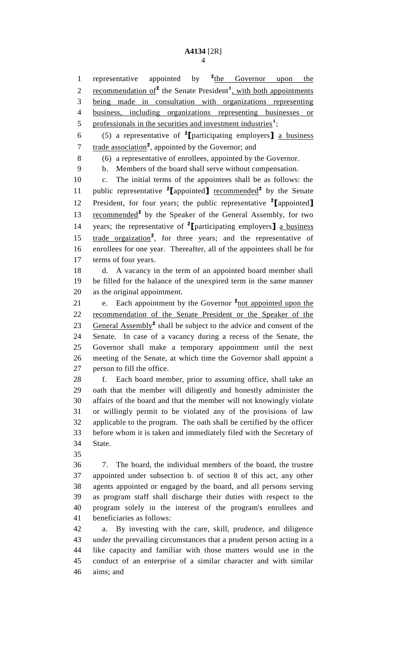representative appointed by **<sup>2</sup>** 1 representative appointed by  $\frac{2 \text{ the}}{\text{C}}$  Governor upon the 2 recommendation of<sup>2</sup> the Senate President<sup>1</sup>, with both appointments being made in consultation with organizations representing business, including organizations representing businesses or 5 professionals in the securities and investment industries<sup>1</sup>; (5) a representative of **<sup>2</sup> [**participating employers**]** a business 7 trade association<sup>2</sup>, appointed by the Governor; and (6) a representative of enrollees, appointed by the Governor. b. Members of the board shall serve without compensation. c. The initial terms of the appointees shall be as follows: the 11 public representative <sup>2</sup>[appointed] recommended<sup>2</sup> by the Senate President, for four years; the public representative **<sup>2</sup> [**appointed**]** 13 recommended<sup>2</sup> by the Speaker of the General Assembly, for two years; the representative of **<sup>2</sup> [**participating employers**]** a business 15 trade orgaization<sup>2</sup>, for three years; and the representative of enrollees for one year. Thereafter, all of the appointees shall be for terms of four years. d. A vacancy in the term of an appointed board member shall be filled for the balance of the unexpired term in the same manner as the original appointment. 21 e. Each appointment by the Governor <sup>2</sup>not appointed upon the recommendation of the Senate President or the Speaker of the 23 General Assembly<sup>2</sup> shall be subject to the advice and consent of the Senate. In case of a vacancy during a recess of the Senate, the Governor shall make a temporary appointment until the next meeting of the Senate, at which time the Governor shall appoint a person to fill the office. f. Each board member, prior to assuming office, shall take an oath that the member will diligently and honestly administer the affairs of the board and that the member will not knowingly violate or willingly permit to be violated any of the provisions of law applicable to the program. The oath shall be certified by the officer before whom it is taken and immediately filed with the Secretary of State. 7. The board, the individual members of the board, the trustee appointed under subsection b. of section 8 of this act, any other agents appointed or engaged by the board, and all persons serving as program staff shall discharge their duties with respect to the program solely in the interest of the program's enrollees and beneficiaries as follows: a. By investing with the care, skill, prudence, and diligence under the prevailing circumstances that a prudent person acting in a like capacity and familiar with those matters would use in the conduct of an enterprise of a similar character and with similar aims; and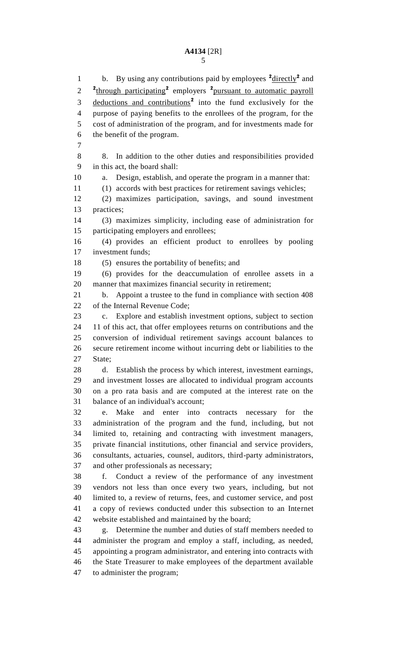1 b. By using any contributions paid by employees <sup>2</sup> directly<sup>2</sup> and 2 <sup>2</sup><sup>through</sup> participating<sup>2</sup> employers <sup>2</sup>pursuant to automatic payroll 3 deductions and contributions<sup>2</sup> into the fund exclusively for the purpose of paying benefits to the enrollees of the program, for the cost of administration of the program, and for investments made for the benefit of the program. 8. In addition to the other duties and responsibilities provided in this act, the board shall: a. Design, establish, and operate the program in a manner that: (1) accords with best practices for retirement savings vehicles; (2) maximizes participation, savings, and sound investment practices; (3) maximizes simplicity, including ease of administration for participating employers and enrollees; (4) provides an efficient product to enrollees by pooling investment funds; (5) ensures the portability of benefits; and (6) provides for the deaccumulation of enrollee assets in a manner that maximizes financial security in retirement; b. Appoint a trustee to the fund in compliance with section 408 of the Internal Revenue Code; c. Explore and establish investment options, subject to section 11 of this act, that offer employees returns on contributions and the conversion of individual retirement savings account balances to secure retirement income without incurring debt or liabilities to the State; d. Establish the process by which interest, investment earnings, and investment losses are allocated to individual program accounts on a pro rata basis and are computed at the interest rate on the balance of an individual's account; e. Make and enter into contracts necessary for the administration of the program and the fund, including, but not limited to, retaining and contracting with investment managers, private financial institutions, other financial and service providers, consultants, actuaries, counsel, auditors, third-party administrators, and other professionals as necessary; f. Conduct a review of the performance of any investment vendors not less than once every two years, including, but not limited to, a review of returns, fees, and customer service, and post a copy of reviews conducted under this subsection to an Internet website established and maintained by the board; g. Determine the number and duties of staff members needed to administer the program and employ a staff, including, as needed, appointing a program administrator, and entering into contracts with the State Treasurer to make employees of the department available to administer the program;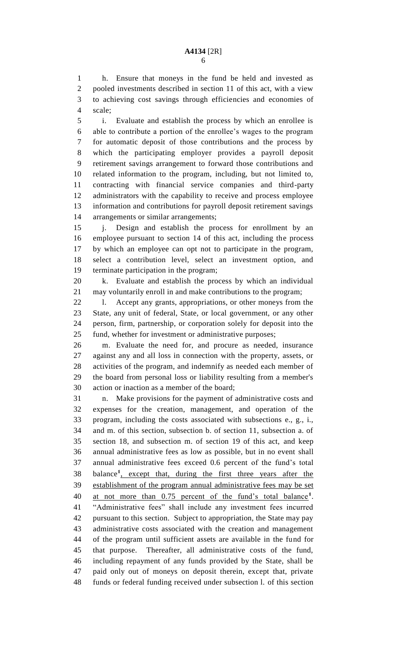h. Ensure that moneys in the fund be held and invested as pooled investments described in section 11 of this act, with a view to achieving cost savings through efficiencies and economies of scale;

 i. Evaluate and establish the process by which an enrollee is able to contribute a portion of the enrollee's wages to the program for automatic deposit of those contributions and the process by which the participating employer provides a payroll deposit retirement savings arrangement to forward those contributions and related information to the program, including, but not limited to, contracting with financial service companies and third-party administrators with the capability to receive and process employee information and contributions for payroll deposit retirement savings arrangements or similar arrangements;

 j. Design and establish the process for enrollment by an employee pursuant to section 14 of this act, including the process by which an employee can opt not to participate in the program, select a contribution level, select an investment option, and terminate participation in the program;

 k. Evaluate and establish the process by which an individual may voluntarily enroll in and make contributions to the program;

 l. Accept any grants, appropriations, or other moneys from the State, any unit of federal, State, or local government, or any other person, firm, partnership, or corporation solely for deposit into the fund, whether for investment or administrative purposes;

 m. Evaluate the need for, and procure as needed, insurance against any and all loss in connection with the property, assets, or activities of the program, and indemnify as needed each member of the board from personal loss or liability resulting from a member's action or inaction as a member of the board;

 n. Make provisions for the payment of administrative costs and expenses for the creation, management, and operation of the program, including the costs associated with subsections e., g., i., and m. of this section, subsection b. of section 11, subsection a. of section 18, and subsection m. of section 19 of this act, and keep annual administrative fees as low as possible, but in no event shall annual administrative fees exceed 0.6 percent of the fund's total 38 balance<sup>1</sup>, except that, during the first three years after the establishment of the program annual administrative fees may be set 40 at not more than 0.75 percent of the fund's total balance<sup>1</sup>. "Administrative fees" shall include any investment fees incurred pursuant to this section. Subject to appropriation, the State may pay administrative costs associated with the creation and management of the program until sufficient assets are available in the fund for that purpose. Thereafter, all administrative costs of the fund, including repayment of any funds provided by the State, shall be paid only out of moneys on deposit therein, except that, private funds or federal funding received under subsection l. of this section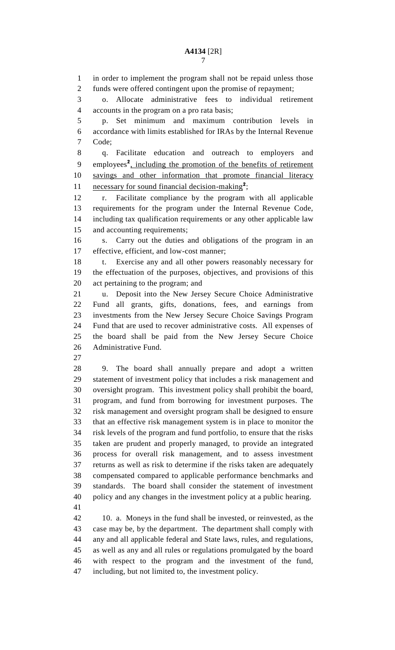in order to implement the program shall not be repaid unless those funds were offered contingent upon the promise of repayment; o. Allocate administrative fees to individual retirement accounts in the program on a pro rata basis; p. Set minimum and maximum contribution levels in accordance with limits established for IRAs by the Internal Revenue Code; q. Facilitate education and outreach to employers and 9 employees<sup>2</sup>, including the promotion of the benefits of retirement savings and other information that promote financial literacy 11 necessary for sound financial decision-making<sup>2</sup>; r. Facilitate compliance by the program with all applicable requirements for the program under the Internal Revenue Code, including tax qualification requirements or any other applicable law and accounting requirements; s. Carry out the duties and obligations of the program in an effective, efficient, and low-cost manner; t. Exercise any and all other powers reasonably necessary for the effectuation of the purposes, objectives, and provisions of this act pertaining to the program; and u. Deposit into the New Jersey Secure Choice Administrative Fund all grants, gifts, donations, fees, and earnings from investments from the New Jersey Secure Choice Savings Program Fund that are used to recover administrative costs. All expenses of the board shall be paid from the New Jersey Secure Choice Administrative Fund. 9. The board shall annually prepare and adopt a written statement of investment policy that includes a risk management and oversight program. This investment policy shall prohibit the board, program, and fund from borrowing for investment purposes. The risk management and oversight program shall be designed to ensure that an effective risk management system is in place to monitor the risk levels of the program and fund portfolio, to ensure that the risks taken are prudent and properly managed, to provide an integrated process for overall risk management, and to assess investment returns as well as risk to determine if the risks taken are adequately compensated compared to applicable performance benchmarks and

 policy and any changes in the investment policy at a public hearing. 

 10. a. Moneys in the fund shall be invested, or reinvested, as the case may be, by the department. The department shall comply with any and all applicable federal and State laws, rules, and regulations, as well as any and all rules or regulations promulgated by the board with respect to the program and the investment of the fund, including, but not limited to, the investment policy.

standards. The board shall consider the statement of investment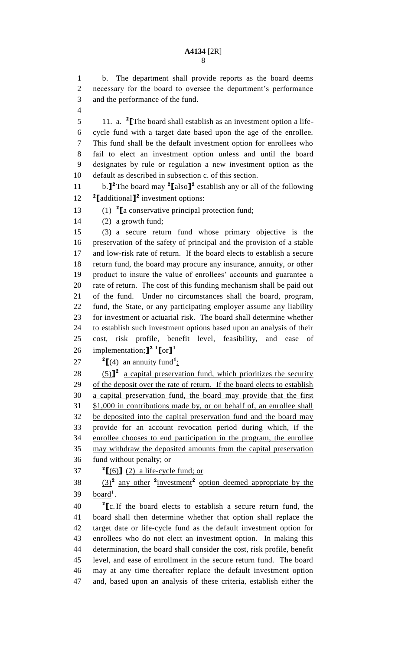b. The department shall provide reports as the board deems necessary for the board to oversee the department's performance and the performance of the fund.

11. a. **<sup>2</sup> [**The board shall establish as an investment option a life- cycle fund with a target date based upon the age of the enrollee. This fund shall be the default investment option for enrollees who fail to elect an investment option unless and until the board designates by rule or regulation a new investment option as the default as described in subsection c. of this section.

11 b.<sup> $\int$ </sup><sup>2</sup> The board may <sup>2</sup> $\left[$  also  $\right]$ <sup>2</sup> establish any or all of the following **2 [**additional**] 2** investment options:

(1) **<sup>2</sup> [**a conservative principal protection fund;

(2) a growth fund;

 (3) a secure return fund whose primary objective is the preservation of the safety of principal and the provision of a stable and low-risk rate of return. If the board elects to establish a secure return fund, the board may procure any insurance, annuity, or other product to insure the value of enrollees' accounts and guarantee a rate of return. The cost of this funding mechanism shall be paid out of the fund. Under no circumstances shall the board, program, fund, the State, or any participating employer assume any liability for investment or actuarial risk. The board shall determine whether to establish such investment options based upon an analysis of their cost, risk profile, benefit level, feasibility, and ease of implementation;**] 2 1 [**or**] 1** 

27  $\text{I}(4)$  an annuity fund<sup>1</sup>:

 $(5)$ <sup>2</sup> a capital preservation fund, which prioritizes the security 29 of the deposit over the rate of return. If the board elects to establish a capital preservation fund, the board may provide that the first \$1,000 in contributions made by, or on behalf of, an enrollee shall 32 be deposited into the capital preservation fund and the board may provide for an account revocation period during which, if the enrollee chooses to end participation in the program, the enrollee may withdraw the deposited amounts from the capital preservation fund without penalty; or

**2 [**(6)**]** (2) a life-cycle fund; or

38  $\left(\frac{3}{2}\right)^2$  any other <sup>2</sup> investment<sup>2</sup> option deemed appropriate by the 39 <u>board</u><sup>1</sup>.

 **[**c.If the board elects to establish a secure return fund, the board shall then determine whether that option shall replace the target date or life-cycle fund as the default investment option for enrollees who do not elect an investment option. In making this determination, the board shall consider the cost, risk profile, benefit level, and ease of enrollment in the secure return fund. The board may at any time thereafter replace the default investment option and, based upon an analysis of these criteria, establish either the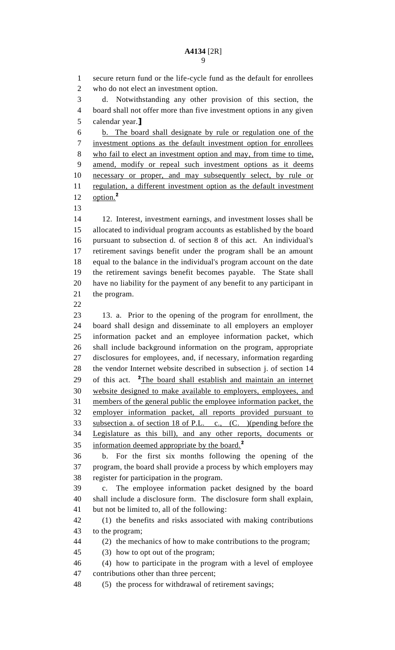secure return fund or the life-cycle fund as the default for enrollees who do not elect an investment option. d. Notwithstanding any other provision of this section, the board shall not offer more than five investment options in any given calendar year.**]** b. The board shall designate by rule or regulation one of the investment options as the default investment option for enrollees who fail to elect an investment option and may, from time to time, amend, modify or repeal such investment options as it deems necessary or proper, and may subsequently select, by rule or 11 regulation, a different investment option as the default investment option.**<sup>2</sup>** 12. Interest, investment earnings, and investment losses shall be allocated to individual program accounts as established by the board pursuant to subsection d. of section 8 of this act. An individual's retirement savings benefit under the program shall be an amount equal to the balance in the individual's program account on the date the retirement savings benefit becomes payable. The State shall have no liability for the payment of any benefit to any participant in the program. 13. a. Prior to the opening of the program for enrollment, the board shall design and disseminate to all employers an employer information packet and an employee information packet, which shall include background information on the program, appropriate disclosures for employees, and, if necessary, information regarding the vendor Internet website described in subsection j. of section 14 29 of this act. <sup>2</sup>The board shall establish and maintain an internet website designed to make available to employers, employees, and members of the general public the employee information packet, the employer information packet, all reports provided pursuant to subsection a. of section 18 of P.L. c., (C. )(pending before the Legislature as this bill), and any other reports, documents or information deemed appropriate by the board.**<sup>2</sup>** b. For the first six months following the opening of the program, the board shall provide a process by which employers may register for participation in the program. c. The employee information packet designed by the board shall include a disclosure form. The disclosure form shall explain, but not be limited to, all of the following: (1) the benefits and risks associated with making contributions to the program; (2) the mechanics of how to make contributions to the program; (3) how to opt out of the program; (4) how to participate in the program with a level of employee contributions other than three percent; (5) the process for withdrawal of retirement savings;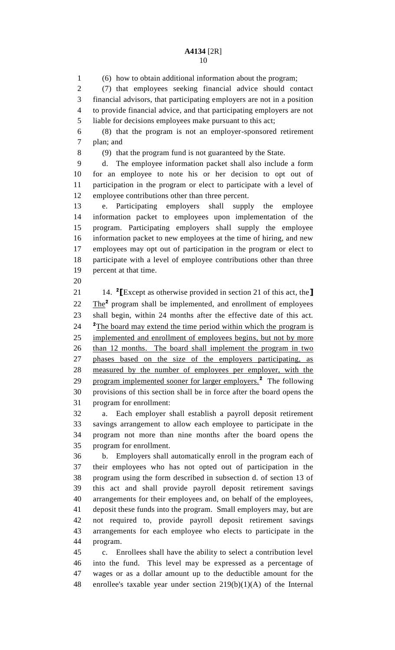(6) how to obtain additional information about the program; (7) that employees seeking financial advice should contact financial advisors, that participating employers are not in a position to provide financial advice, and that participating employers are not liable for decisions employees make pursuant to this act; (8) that the program is not an employer-sponsored retirement

plan; and

(9) that the program fund is not guaranteed by the State.

 d. The employee information packet shall also include a form for an employee to note his or her decision to opt out of participation in the program or elect to participate with a level of employee contributions other than three percent.

 e. Participating employers shall supply the employee information packet to employees upon implementation of the program. Participating employers shall supply the employee information packet to new employees at the time of hiring, and new employees may opt out of participation in the program or elect to participate with a level of employee contributions other than three percent at that time.

14. **<sup>2</sup> [**Except as otherwise provided in section 21 of this act, the**]** 22 The<sup>2</sup> program shall be implemented, and enrollment of employees shall begin, within 24 months after the effective date of this act. <sup>2</sup>The board may extend the time period within which the program is implemented and enrollment of employees begins, but not by more than 12 months. The board shall implement the program in two phases based on the size of the employers participating, as measured by the number of employees per employer, with the 29 program implemented sooner for larger employers.<sup>2</sup> The following provisions of this section shall be in force after the board opens the program for enrollment:

 a. Each employer shall establish a payroll deposit retirement savings arrangement to allow each employee to participate in the program not more than nine months after the board opens the program for enrollment.

 b. Employers shall automatically enroll in the program each of their employees who has not opted out of participation in the program using the form described in subsection d. of section 13 of this act and shall provide payroll deposit retirement savings arrangements for their employees and, on behalf of the employees, deposit these funds into the program. Small employers may, but are not required to, provide payroll deposit retirement savings arrangements for each employee who elects to participate in the program.

 c. Enrollees shall have the ability to select a contribution level into the fund. This level may be expressed as a percentage of wages or as a dollar amount up to the deductible amount for the enrollee's taxable year under section 219(b)(1)(A) of the Internal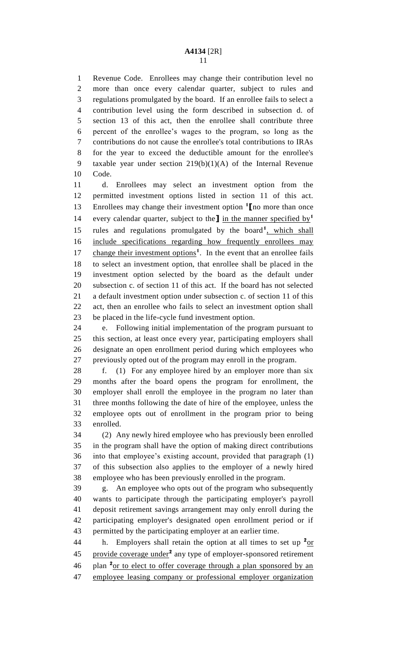Revenue Code. Enrollees may change their contribution level no more than once every calendar quarter, subject to rules and regulations promulgated by the board. If an enrollee fails to select a contribution level using the form described in subsection d. of section 13 of this act, then the enrollee shall contribute three percent of the enrollee's wages to the program, so long as the contributions do not cause the enrollee's total contributions to IRAs for the year to exceed the deductible amount for the enrollee's taxable year under section 219(b)(1)(A) of the Internal Revenue Code.

 d. Enrollees may select an investment option from the permitted investment options listed in section 11 of this act. Enrollees may change their investment option **<sup>1</sup> [**no more than once every calendar quarter, subject to the**]** in the manner specified by**<sup>1</sup>** 15 rules and regulations promulgated by the board<sup>1</sup>, which shall include specifications regarding how frequently enrollees may 17 change their investment options<sup>1</sup>. In the event that an enrollee fails to select an investment option, that enrollee shall be placed in the investment option selected by the board as the default under subsection c. of section 11 of this act. If the board has not selected a default investment option under subsection c. of section 11 of this act, then an enrollee who fails to select an investment option shall be placed in the life-cycle fund investment option.

 e. Following initial implementation of the program pursuant to this section, at least once every year, participating employers shall designate an open enrollment period during which employees who previously opted out of the program may enroll in the program.

 f. (1) For any employee hired by an employer more than six months after the board opens the program for enrollment, the employer shall enroll the employee in the program no later than three months following the date of hire of the employee, unless the employee opts out of enrollment in the program prior to being enrolled.

 (2) Any newly hired employee who has previously been enrolled in the program shall have the option of making direct contributions into that employee's existing account, provided that paragraph (1) of this subsection also applies to the employer of a newly hired employee who has been previously enrolled in the program.

 g. An employee who opts out of the program who subsequently wants to participate through the participating employer's payroll deposit retirement savings arrangement may only enroll during the participating employer's designated open enrollment period or if permitted by the participating employer at an earlier time.

44 h. Employers shall retain the option at all times to set up  $2_{\text{OT}}$ 45 provide coverage under<sup>2</sup> any type of employer-sponsored retirement 46 plan <sup>2</sup> or to elect to offer coverage through a plan sponsored by an employee leasing company or professional employer organization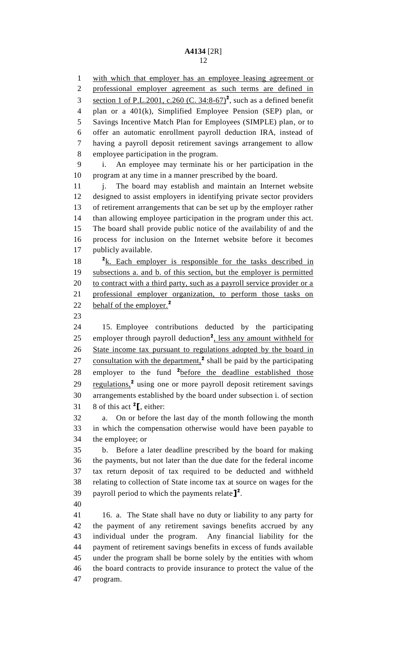with which that employer has an employee leasing agreement or professional employer agreement as such terms are defined in 3 section 1 of P.L.2001, c.260 (C.  $34:8-67$ )<sup>2</sup>, such as a defined benefit plan or a 401(k), Simplified Employee Pension (SEP) plan, or Savings Incentive Match Plan for Employees (SIMPLE) plan, or to offer an automatic enrollment payroll deduction IRA, instead of having a payroll deposit retirement savings arrangement to allow employee participation in the program. i. An employee may terminate his or her participation in the program at any time in a manner prescribed by the board. 11 i. The board may establish and maintain an Internet website designed to assist employers in identifying private sector providers of retirement arrangements that can be set up by the employer rather than allowing employee participation in the program under this act. The board shall provide public notice of the availability of and the process for inclusion on the Internet website before it becomes publicly available. 18 <sup>2</sup>k. Each employer is responsible for the tasks described in subsections a. and b. of this section, but the employer is permitted 20 to contract with a third party, such as a payroll service provider or a professional employer organization, to perform those tasks on behalf of the employer.**<sup>2</sup>** 15. Employee contributions deducted by the participating 25 employer through payroll deduction<sup>2</sup>, less any amount withheld for State income tax pursuant to regulations adopted by the board in 27 consultation with the department,<sup>2</sup> shall be paid by the participating 28 employer to the fund <sup>2</sup> before the deadline established those 29 regulations,<sup>2</sup> using one or more payroll deposit retirement savings arrangements established by the board under subsection i. of section 31 8 of this act  $2\text{I}$ , either: a. On or before the last day of the month following the month in which the compensation otherwise would have been payable to the employee; or b. Before a later deadline prescribed by the board for making the payments, but not later than the due date for the federal income tax return deposit of tax required to be deducted and withheld relating to collection of State income tax at source on wages for the payroll period to which the payments relate**] 2** . 16. a. The State shall have no duty or liability to any party for the payment of any retirement savings benefits accrued by any individual under the program. Any financial liability for the payment of retirement savings benefits in excess of funds available under the program shall be borne solely by the entities with whom the board contracts to provide insurance to protect the value of the program.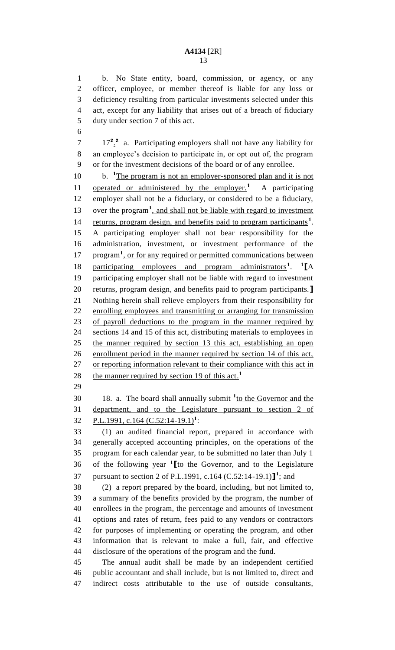b. No State entity, board, commission, or agency, or any officer, employee, or member thereof is liable for any loss or deficiency resulting from particular investments selected under this act, except for any liability that arises out of a breach of fiduciary duty under section 7 of this act.

17**<sup>2</sup>** . **2** 7 a. Participating employers shall not have any liability for an employee's decision to participate in, or opt out of, the program or for the investment decisions of the board or of any enrollee.

10 b. <sup>1</sup>The program is not an employer-sponsored plan and it is not 11 operated or administered by the employer.<sup>1</sup> A participating employer shall not be a fiduciary, or considered to be a fiduciary, 13 over the program<sup>1</sup>, and shall not be liable with regard to investment 14 returns, program design, and benefits paid to program participants<sup>1</sup>. A participating employer shall not bear responsibility for the administration, investment, or investment performance of the 17 program<sup>1</sup>, or for any required or permitted communications between 18 participating employees and program administrators<sup>1</sup>. <sup>1</sup>[A participating employer shall not be liable with regard to investment returns, program design, and benefits paid to program participants.**]** Nothing herein shall relieve employers from their responsibility for enrolling employees and transmitting or arranging for transmission of payroll deductions to the program in the manner required by sections 14 and 15 of this act, distributing materials to employees in the manner required by section 13 this act, establishing an open enrollment period in the manner required by section 14 of this act, 27 or reporting information relevant to their compliance with this act in the manner required by section 19 of this act. **1** 

18. a. The board shall annually submit <sup>1</sup>to the Governor and the department, and to the Legislature pursuant to section 2 of 32 P.L.1991, c.164 (C.52:14-19.1)<sup>1</sup>:

 (1) an audited financial report, prepared in accordance with generally accepted accounting principles, on the operations of the program for each calendar year, to be submitted no later than July 1 of the following year **<sup>1</sup> [**to the Governor, and to the Legislature 37 pursuant to section 2 of P.L.1991, c.164 (C.52:14-19.1)<sup>1</sup>; and

 (2) a report prepared by the board, including, but not limited to, a summary of the benefits provided by the program, the number of enrollees in the program, the percentage and amounts of investment options and rates of return, fees paid to any vendors or contractors for purposes of implementing or operating the program, and other information that is relevant to make a full, fair, and effective disclosure of the operations of the program and the fund.

 The annual audit shall be made by an independent certified public accountant and shall include, but is not limited to, direct and indirect costs attributable to the use of outside consultants,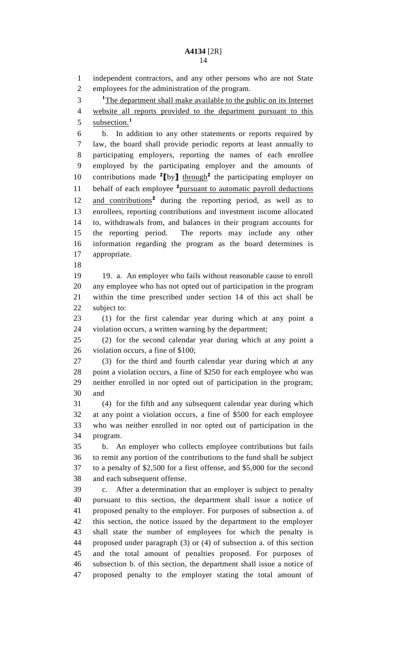independent contractors, and any other persons who are not State employees for the administration of the program. <sup>1</sup>The department shall make available to the public on its Internet website all reports provided to the department pursuant to this subsection.**<sup>1</sup>** b. In addition to any other statements or reports required by law, the board shall provide periodic reports at least annually to participating employers, reporting the names of each enrollee employed by the participating employer and the amounts of 10 contributions made [by] through<sup>2</sup> the participating employer on 11 behalf of each employee <sup>2</sup> pursuant to automatic payroll deductions 12 and contributions<sup>2</sup> during the reporting period, as well as to enrollees, reporting contributions and investment income allocated to, withdrawals from, and balances in their program accounts for the reporting period. The reports may include any other information regarding the program as the board determines is appropriate. 19. a. An employer who fails without reasonable cause to enroll any employee who has not opted out of participation in the program within the time prescribed under section 14 of this act shall be subject to: (1) for the first calendar year during which at any point a violation occurs, a written warning by the department; (2) for the second calendar year during which at any point a violation occurs, a fine of \$100; (3) for the third and fourth calendar year during which at any point a violation occurs, a fine of \$250 for each employee who was neither enrolled in nor opted out of participation in the program; and (4) for the fifth and any subsequent calendar year during which at any point a violation occurs, a fine of \$500 for each employee who was neither enrolled in nor opted out of participation in the program. b. An employer who collects employee contributions but fails to remit any portion of the contributions to the fund shall be subject to a penalty of \$2,500 for a first offense, and \$5,000 for the second and each subsequent offense. c. After a determination that an employer is subject to penalty pursuant to this section, the department shall issue a notice of proposed penalty to the employer. For purposes of subsection a. of this section, the notice issued by the department to the employer shall state the number of employees for which the penalty is proposed under paragraph (3) or (4) of subsection a. of this section and the total amount of penalties proposed. For purposes of subsection b. of this section, the department shall issue a notice of proposed penalty to the employer stating the total amount of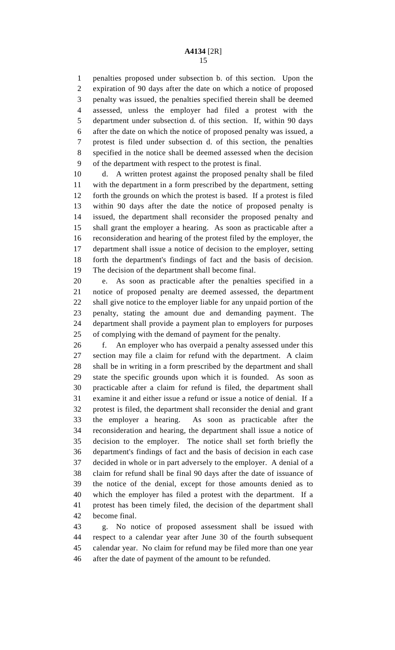penalties proposed under subsection b. of this section. Upon the expiration of 90 days after the date on which a notice of proposed penalty was issued, the penalties specified therein shall be deemed assessed, unless the employer had filed a protest with the department under subsection d. of this section. If, within 90 days after the date on which the notice of proposed penalty was issued, a protest is filed under subsection d. of this section, the penalties specified in the notice shall be deemed assessed when the decision of the department with respect to the protest is final.

 d. A written protest against the proposed penalty shall be filed with the department in a form prescribed by the department, setting forth the grounds on which the protest is based. If a protest is filed within 90 days after the date the notice of proposed penalty is issued, the department shall reconsider the proposed penalty and shall grant the employer a hearing. As soon as practicable after a reconsideration and hearing of the protest filed by the employer, the department shall issue a notice of decision to the employer, setting forth the department's findings of fact and the basis of decision. The decision of the department shall become final.

 e. As soon as practicable after the penalties specified in a notice of proposed penalty are deemed assessed, the department shall give notice to the employer liable for any unpaid portion of the penalty, stating the amount due and demanding payment. The department shall provide a payment plan to employers for purposes of complying with the demand of payment for the penalty.

 f. An employer who has overpaid a penalty assessed under this section may file a claim for refund with the department. A claim shall be in writing in a form prescribed by the department and shall state the specific grounds upon which it is founded. As soon as practicable after a claim for refund is filed, the department shall examine it and either issue a refund or issue a notice of denial. If a protest is filed, the department shall reconsider the denial and grant the employer a hearing. As soon as practicable after the reconsideration and hearing, the department shall issue a notice of decision to the employer. The notice shall set forth briefly the department's findings of fact and the basis of decision in each case decided in whole or in part adversely to the employer. A denial of a claim for refund shall be final 90 days after the date of issuance of the notice of the denial, except for those amounts denied as to which the employer has filed a protest with the department. If a protest has been timely filed, the decision of the department shall become final.

 g. No notice of proposed assessment shall be issued with respect to a calendar year after June 30 of the fourth subsequent calendar year. No claim for refund may be filed more than one year after the date of payment of the amount to be refunded.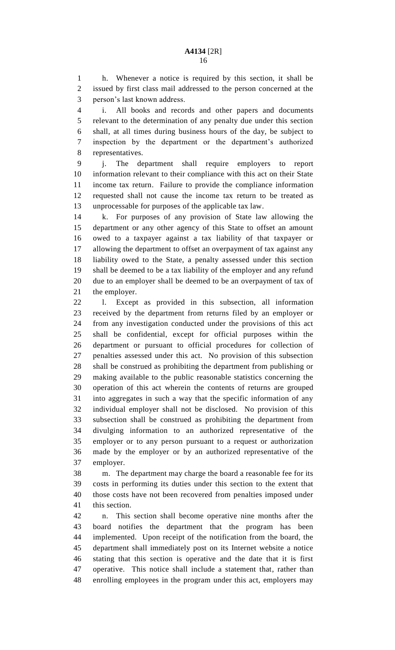h. Whenever a notice is required by this section, it shall be issued by first class mail addressed to the person concerned at the person's last known address.

 i. All books and records and other papers and documents relevant to the determination of any penalty due under this section shall, at all times during business hours of the day, be subject to inspection by the department or the department's authorized representatives.

 j. The department shall require employers to report information relevant to their compliance with this act on their State income tax return. Failure to provide the compliance information requested shall not cause the income tax return to be treated as unprocessable for purposes of the applicable tax law.

 k. For purposes of any provision of State law allowing the department or any other agency of this State to offset an amount owed to a taxpayer against a tax liability of that taxpayer or allowing the department to offset an overpayment of tax against any liability owed to the State, a penalty assessed under this section shall be deemed to be a tax liability of the employer and any refund due to an employer shall be deemed to be an overpayment of tax of the employer.

 l. Except as provided in this subsection, all information received by the department from returns filed by an employer or from any investigation conducted under the provisions of this act shall be confidential, except for official purposes within the department or pursuant to official procedures for collection of penalties assessed under this act. No provision of this subsection shall be construed as prohibiting the department from publishing or making available to the public reasonable statistics concerning the operation of this act wherein the contents of returns are grouped into aggregates in such a way that the specific information of any individual employer shall not be disclosed. No provision of this subsection shall be construed as prohibiting the department from divulging information to an authorized representative of the employer or to any person pursuant to a request or authorization made by the employer or by an authorized representative of the employer.

 m. The department may charge the board a reasonable fee for its costs in performing its duties under this section to the extent that those costs have not been recovered from penalties imposed under this section.

 n. This section shall become operative nine months after the board notifies the department that the program has been implemented. Upon receipt of the notification from the board, the department shall immediately post on its Internet website a notice stating that this section is operative and the date that it is first operative. This notice shall include a statement that, rather than enrolling employees in the program under this act, employers may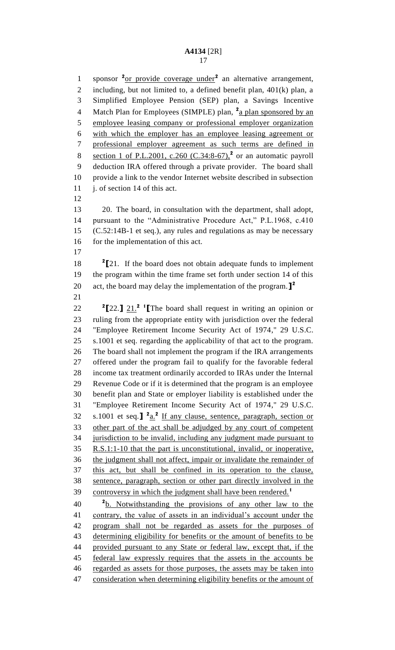1 sponsor <sup>2</sup><u>or provide coverage under</u><sup>2</sup> an alternative arrangement, including, but not limited to, a defined benefit plan, 401(k) plan, a Simplified Employee Pension (SEP) plan, a Savings Incentive 4 Match Plan for Employees (SIMPLE) plan, <sup>2</sup>a plan sponsored by an employee leasing company or professional employer organization with which the employer has an employee leasing agreement or professional employer agreement as such terms are defined in 8 section 1 of P.L.2001, c.260 (C.34:8-67),<sup>2</sup> or an automatic payroll deduction IRA offered through a private provider. The board shall provide a link to the vendor Internet website described in subsection j. of section 14 of this act. 20. The board, in consultation with the department, shall adopt, pursuant to the "Administrative Procedure Act," P.L.1968, c.410 (C.52:14B-1 et seq.), any rules and regulations as may be necessary 16 for the implementation of this act. **[**21. If the board does not obtain adequate funds to implement the program within the time frame set forth under section 14 of this act, the board may delay the implementation of the program.**] 2**  $\frac{2}{2}$  **[22.]**  $\frac{21}{2}$  **[The board shall request in writing an opinion or**  ruling from the appropriate entity with jurisdiction over the federal "Employee Retirement Income Security Act of 1974," 29 U.S.C. s.1001 et seq. regarding the applicability of that act to the program. The board shall not implement the program if the IRA arrangements offered under the program fail to qualify for the favorable federal income tax treatment ordinarily accorded to IRAs under the Internal Revenue Code or if it is determined that the program is an employee benefit plan and State or employer liability is established under the "Employee Retirement Income Security Act of 1974," 29 U.S.C. 32 s.1001 et seq.  $\int_0^2 \frac{a}{2} \ln a \, d\theta$  is the sentence, paragraph, section or other part of the act shall be adjudged by any court of competent jurisdiction to be invalid, including any judgment made pursuant to R.S.1:1-10 that the part is unconstitutional, invalid, or inoperative, the judgment shall not affect, impair or invalidate the remainder of this act, but shall be confined in its operation to the clause, sentence, paragraph, section or other part directly involved in the controversy in which the judgment shall have been rendered.**<sup>1</sup>** b. Notwithstanding the provisions of any other law to the contrary, the value of assets in an individual's account under the

 program shall not be regarded as assets for the purposes of determining eligibility for benefits or the amount of benefits to be provided pursuant to any State or federal law, except that, if the federal law expressly requires that the assets in the accounts be regarded as assets for those purposes, the assets may be taken into 47 consideration when determining eligibility benefits or the amount of